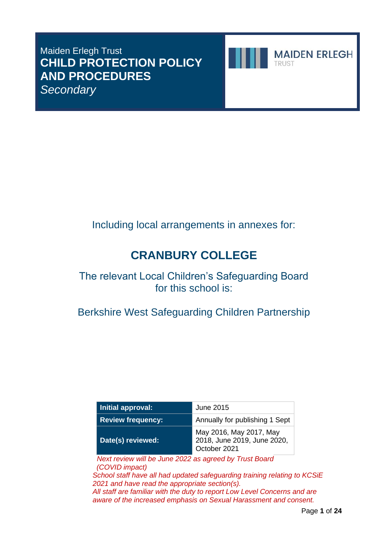# Maiden Erlegh Trust **CHILD PROTECTION POLICY AND PROCEDURES** *Secondary*



Including local arrangements in annexes for:

# **CRANBURY COLLEGE**

The relevant Local Children's Safeguarding Board for this school is:

Berkshire West Safeguarding Children Partnership

| Initial approval:        | June 2015                                                              |
|--------------------------|------------------------------------------------------------------------|
| <b>Review frequency:</b> | Annually for publishing 1 Sept                                         |
| Date(s) reviewed:        | May 2016, May 2017, May<br>2018, June 2019, June 2020,<br>October 2021 |

*Next review will be June 2022 as agreed by Trust Board (COVID impact)*

*School staff have all had updated safeguarding training relating to KCSiE 2021 and have read the appropriate section(s). All staff are familiar with the duty to report Low Level Concerns and are aware of the increased emphasis on Sexual Harassment and consent.*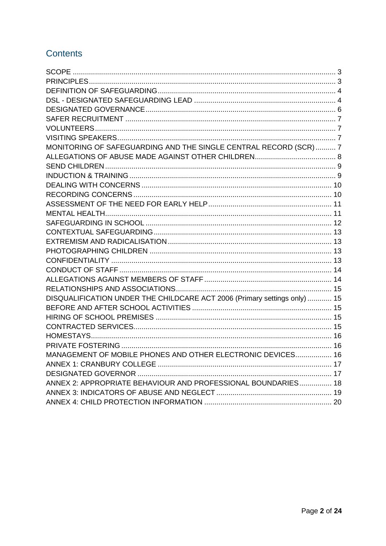# **Contents**

| MONITORING OF SAFEGUARDING AND THE SINGLE CENTRAL RECORD (SCR) 7          |  |
|---------------------------------------------------------------------------|--|
|                                                                           |  |
|                                                                           |  |
|                                                                           |  |
|                                                                           |  |
|                                                                           |  |
|                                                                           |  |
|                                                                           |  |
|                                                                           |  |
|                                                                           |  |
|                                                                           |  |
|                                                                           |  |
|                                                                           |  |
|                                                                           |  |
|                                                                           |  |
|                                                                           |  |
| DISQUALIFICATION UNDER THE CHILDCARE ACT 2006 (Primary settings only)  15 |  |
|                                                                           |  |
|                                                                           |  |
|                                                                           |  |
|                                                                           |  |
|                                                                           |  |
| MANAGEMENT OF MOBILE PHONES AND OTHER ELECTRONIC DEVICES 16               |  |
|                                                                           |  |
|                                                                           |  |
| ANNEX 2: APPROPRIATE BEHAVIOUR AND PROFESSIONAL BOUNDARIES 18             |  |
|                                                                           |  |
|                                                                           |  |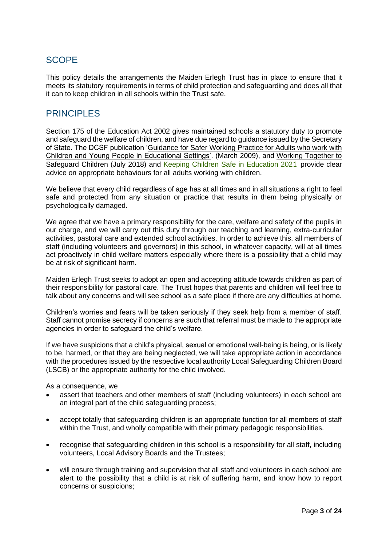# <span id="page-2-0"></span>**SCOPE**

This policy details the arrangements the Maiden Erlegh Trust has in place to ensure that it meets its statutory requirements in terms of child protection and safeguarding and does all that it can to keep children in all schools within the Trust safe.

### <span id="page-2-1"></span>**PRINCIPLES**

Section 175 of the Education Act 2002 gives maintained schools a statutory duty to promote and safeguard the welfare of children, and have due regard to guidance issued by the Secretary of State. The DCSF publication ['Guidance for Safer Working Practice for Adults who work with](http://www.childrenengland.org.uk/upload/Guidance%20.pdf)  [Children and Young People in Educational Settings'.](http://www.childrenengland.org.uk/upload/Guidance%20.pdf) (March 2009), and [Working Together to](https://www.gov.uk/government/uploads/system/uploads/attachment_data/file/281368/Working_together_to_safeguard_children.pdf)  [Safeguard Children](https://www.gov.uk/government/uploads/system/uploads/attachment_data/file/281368/Working_together_to_safeguard_children.pdf) (July 2018) and [Keeping Children Safe in Education 202](https://assets.publishing.service.gov.uk/government/uploads/system/uploads/attachment_data/file/1021914/KCSIE_2021_September_guidance.pdf)[1](https://assets.publishing.service.gov.uk/government/uploads/system/uploads/attachment_data/file/1021914/KCSIE_2021_September_guidance.pdf) provide clear advice on appropriate behaviours for all adults working with children.

We believe that every child regardless of age has at all times and in all situations a right to feel safe and protected from any situation or practice that results in them being physically or psychologically damaged.

We agree that we have a primary responsibility for the care, welfare and safety of the pupils in our charge, and we will carry out this duty through our teaching and learning, extra-curricular activities, pastoral care and extended school activities. In order to achieve this, all members of staff (including volunteers and governors) in this school, in whatever capacity, will at all times act proactively in child welfare matters especially where there is a possibility that a child may be at risk of significant harm.

Maiden Erlegh Trust seeks to adopt an open and accepting attitude towards children as part of their responsibility for pastoral care. The Trust hopes that parents and children will feel free to talk about any concerns and will see school as a safe place if there are any difficulties at home.

Children's worries and fears will be taken seriously if they seek help from a member of staff. Staff cannot promise secrecy if concerns are such that referral must be made to the appropriate agencies in order to safeguard the child's welfare.

If we have suspicions that a child's physical, sexual or emotional well-being is being, or is likely to be, harmed, or that they are being neglected, we will take appropriate action in accordance with the procedures issued by the respective local authority Local Safeguarding Children Board (LSCB) or the appropriate authority for the child involved.

As a consequence, we

- assert that teachers and other members of staff (including volunteers) in each school are an integral part of the child safeguarding process;
- accept totally that safeguarding children is an appropriate function for all members of staff within the Trust, and wholly compatible with their primary pedagogic responsibilities.
- recognise that safeguarding children in this school is a responsibility for all staff, including volunteers, Local Advisory Boards and the Trustees;
- will ensure through training and supervision that all staff and volunteers in each school are alert to the possibility that a child is at risk of suffering harm, and know how to report concerns or suspicions;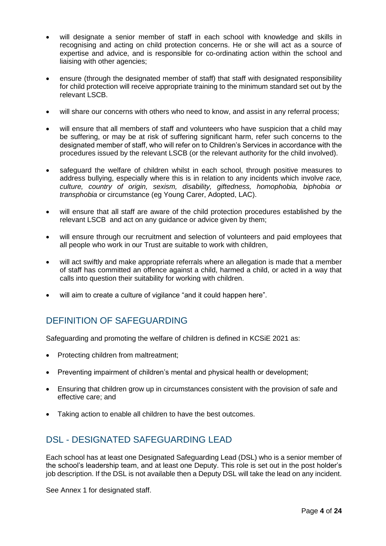- will designate a senior member of staff in each school with knowledge and skills in recognising and acting on child protection concerns. He or she will act as a source of expertise and advice, and is responsible for co-ordinating action within the school and liaising with other agencies;
- ensure (through the designated member of staff) that staff with designated responsibility for child protection will receive appropriate training to the minimum standard set out by the relevant LSCB.
- will share our concerns with others who need to know, and assist in any referral process;
- will ensure that all members of staff and volunteers who have suspicion that a child may be suffering, or may be at risk of suffering significant harm, refer such concerns to the designated member of staff, who will refer on to Children's Services in accordance with the procedures issued by the relevant LSCB (or the relevant authority for the child involved).
- safeguard the welfare of children whilst in each school, through positive measures to address bullying, especially where this is in relation to any incidents which involve *race, culture, country of origin, sexism, disability, giftedness, homophobia, biphobia or transphobia* or circumstance (eg Young Carer, Adopted, LAC).
- will ensure that all staff are aware of the child protection procedures established by the relevant LSCB and act on any guidance or advice given by them;
- will ensure through our recruitment and selection of volunteers and paid employees that all people who work in our Trust are suitable to work with children,
- will act swiftly and make appropriate referrals where an allegation is made that a member of staff has committed an offence against a child, harmed a child, or acted in a way that calls into question their suitability for working with children.
- will aim to create a culture of vigilance "and it could happen here".

# <span id="page-3-0"></span>DEFINITION OF SAFEGUARDING

Safeguarding and promoting the welfare of children is defined in KCSiE 2021 as:

- Protecting children from maltreatment;
- Preventing impairment of children's mental and physical health or development;
- Ensuring that children grow up in circumstances consistent with the provision of safe and effective care; and
- Taking action to enable all children to have the best outcomes.

# <span id="page-3-1"></span>DSL - DESIGNATED SAFEGUARDING LEAD

Each school has at least one Designated Safeguarding Lead (DSL) who is a senior member of the school's leadership team, and at least one Deputy. This role is set out in the post holder's job description. If the DSL is not available then a Deputy DSL will take the lead on any incident.

See Annex 1 for designated staff.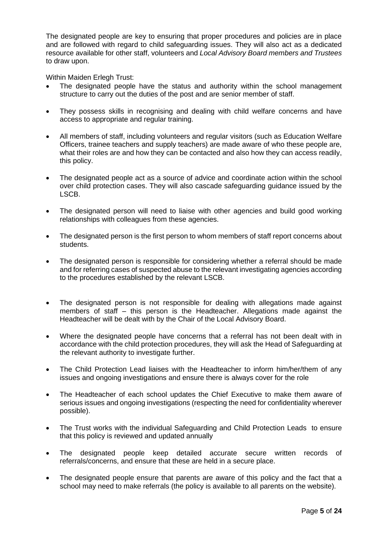The designated people are key to ensuring that proper procedures and policies are in place and are followed with regard to child safeguarding issues. They will also act as a dedicated resource available for other staff, volunteers and *Local Advisory Board members and Trustees* to draw upon.

Within Maiden Erlegh Trust:

- The designated people have the status and authority within the school management structure to carry out the duties of the post and are senior member of staff.
- They possess skills in recognising and dealing with child welfare concerns and have access to appropriate and regular training.
- All members of staff, including volunteers and regular visitors (such as Education Welfare Officers, trainee teachers and supply teachers) are made aware of who these people are, what their roles are and how they can be contacted and also how they can access readily, this policy.
- The designated people act as a source of advice and coordinate action within the school over child protection cases. They will also cascade safeguarding guidance issued by the LSCB.
- The designated person will need to liaise with other agencies and build good working relationships with colleagues from these agencies.
- The designated person is the first person to whom members of staff report concerns about students.
- The designated person is responsible for considering whether a referral should be made and for referring cases of suspected abuse to the relevant investigating agencies according to the procedures established by the relevant LSCB.
- The designated person is not responsible for dealing with allegations made against members of staff – this person is the Headteacher. Allegations made against the Headteacher will be dealt with by the Chair of the Local Advisory Board.
- Where the designated people have concerns that a referral has not been dealt with in accordance with the child protection procedures, they will ask the Head of Safeguarding at the relevant authority to investigate further.
- The Child Protection Lead liaises with the Headteacher to inform him/her/them of any issues and ongoing investigations and ensure there is always cover for the role
- The Headteacher of each school updates the Chief Executive to make them aware of serious issues and ongoing investigations (respecting the need for confidentiality wherever possible).
- The Trust works with the individual Safeguarding and Child Protection Leads to ensure that this policy is reviewed and updated annually
- The designated people keep detailed accurate secure written records of referrals/concerns, and ensure that these are held in a secure place.
- The designated people ensure that parents are aware of this policy and the fact that a school may need to make referrals (the policy is available to all parents on the website).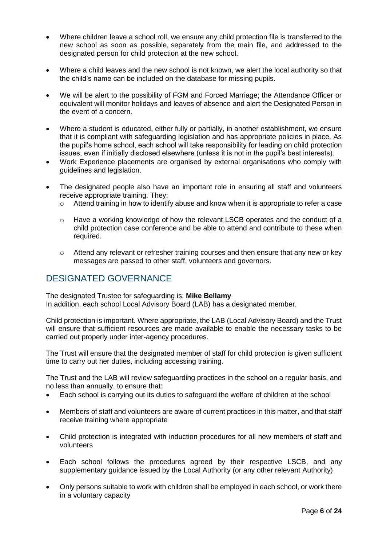- Where children leave a school roll, we ensure any child protection file is transferred to the new school as soon as possible, separately from the main file, and addressed to the designated person for child protection at the new school.
- Where a child leaves and the new school is not known, we alert the local authority so that the child's name can be included on the database for missing pupils.
- We will be alert to the possibility of FGM and Forced Marriage; the Attendance Officer or equivalent will monitor holidays and leaves of absence and alert the Designated Person in the event of a concern.
- Where a student is educated, either fully or partially, in another establishment, we ensure that it is compliant with safeguarding legislation and has appropriate policies in place. As the pupil's home school, each school will take responsibility for leading on child protection issues, even if initially disclosed elsewhere (unless it is not in the pupil's best interests).
- Work Experience placements are organised by external organisations who comply with guidelines and legislation.
- The designated people also have an important role in ensuring all staff and volunteers receive appropriate training. They:
	- o Attend training in how to identify abuse and know when it is appropriate to refer a case
	- $\circ$  Have a working knowledge of how the relevant LSCB operates and the conduct of a child protection case conference and be able to attend and contribute to these when required.
	- $\circ$  Attend any relevant or refresher training courses and then ensure that any new or key messages are passed to other staff, volunteers and governors.

### <span id="page-5-0"></span>DESIGNATED GOVERNANCE

The designated Trustee for safeguarding is: **Mike Bellamy** In addition, each school Local Advisory Board (LAB) has a designated member.

Child protection is important. Where appropriate, the LAB (Local Advisory Board) and the Trust will ensure that sufficient resources are made available to enable the necessary tasks to be carried out properly under inter-agency procedures.

The Trust will ensure that the designated member of staff for child protection is given sufficient time to carry out her duties, including accessing training.

The Trust and the LAB will review safeguarding practices in the school on a regular basis, and no less than annually, to ensure that:

- Each school is carrying out its duties to safeguard the welfare of children at the school
- Members of staff and volunteers are aware of current practices in this matter, and that staff receive training where appropriate
- Child protection is integrated with induction procedures for all new members of staff and volunteers
- Each school follows the procedures agreed by their respective LSCB, and any supplementary guidance issued by the Local Authority (or any other relevant Authority)
- Only persons suitable to work with children shall be employed in each school, or work there in a voluntary capacity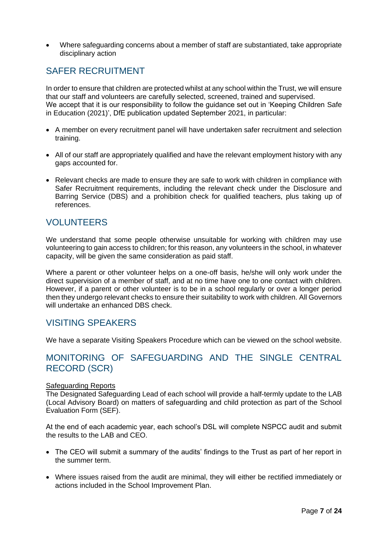• Where safeguarding concerns about a member of staff are substantiated, take appropriate disciplinary action

# <span id="page-6-0"></span>SAFER RECRUITMENT

In order to ensure that children are protected whilst at any school within the Trust, we will ensure that our staff and volunteers are carefully selected, screened, trained and supervised. We accept that it is our responsibility to follow the guidance set out in 'Keeping Children Safe in Education (2021)', DfE publication updated September 2021, in particular:

- A member on every recruitment panel will have undertaken safer recruitment and selection training.
- All of our staff are appropriately qualified and have the relevant employment history with any gaps accounted for.
- Relevant checks are made to ensure they are safe to work with children in compliance with Safer Recruitment requirements, including the relevant check under the Disclosure and Barring Service (DBS) and a prohibition check for qualified teachers, plus taking up of references.

## <span id="page-6-1"></span>VOLUNTEERS

We understand that some people otherwise unsuitable for working with children may use volunteering to gain access to children; for this reason, any volunteers in the school, in whatever capacity, will be given the same consideration as paid staff.

Where a parent or other volunteer helps on a one-off basis, he/she will only work under the direct supervision of a member of staff, and at no time have one to one contact with children. However, if a parent or other volunteer is to be in a school regularly or over a longer period then they undergo relevant checks to ensure their suitability to work with children. All Governors will undertake an enhanced DBS check.

### <span id="page-6-2"></span>VISITING SPEAKERS

We have a separate Visiting Speakers Procedure which can be viewed on the school website.

### <span id="page-6-3"></span>MONITORING OF SAFEGUARDING AND THE SINGLE CENTRAL RECORD (SCR)

#### Safeguarding Reports

The Designated Safeguarding Lead of each school will provide a half-termly update to the LAB (Local Advisory Board) on matters of safeguarding and child protection as part of the School Evaluation Form (SEF).

At the end of each academic year, each school's DSL will complete NSPCC audit and submit the results to the LAB and CEO.

- The CEO will submit a summary of the audits' findings to the Trust as part of her report in the summer term.
- Where issues raised from the audit are minimal, they will either be rectified immediately or actions included in the School Improvement Plan.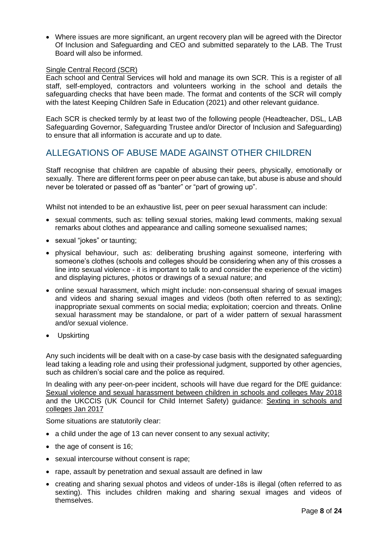• Where issues are more significant, an urgent recovery plan will be agreed with the Director Of Inclusion and Safeguarding and CEO and submitted separately to the LAB. The Trust Board will also be informed.

#### Single Central Record (SCR)

Each school and Central Services will hold and manage its own SCR. This is a register of all staff, self-employed, contractors and volunteers working in the school and details the safeguarding checks that have been made. The format and contents of the SCR will comply with the latest Keeping Children Safe in Education (2021) and other relevant guidance.

Each SCR is checked termly by at least two of the following people (Headteacher, DSL, LAB Safeguarding Governor, Safeguarding Trustee and/or Director of Inclusion and Safeguarding) to ensure that all information is accurate and up to date.

# <span id="page-7-0"></span>ALLEGATIONS OF ABUSE MADE AGAINST OTHER CHILDREN

Staff recognise that children are capable of abusing their peers, physically, emotionally or sexually. There are different forms peer on peer abuse can take, but abuse is abuse and should never be tolerated or passed off as "banter" or "part of growing up".

Whilst not intended to be an exhaustive list, peer on peer sexual harassment can include:

- sexual comments, such as: telling sexual stories, making lewd comments, making sexual remarks about clothes and appearance and calling someone sexualised names;
- sexual "jokes" or taunting;
- physical behaviour, such as: deliberating brushing against someone, interfering with someone's clothes (schools and colleges should be considering when any of this crosses a line into sexual violence - it is important to talk to and consider the experience of the victim) and displaying pictures, photos or drawings of a sexual nature; and
- online sexual harassment, which might include: non-consensual sharing of sexual images and videos and sharing sexual images and videos (both often referred to as sexting); inappropriate sexual comments on social media; exploitation; coercion and threats. Online sexual harassment may be standalone, or part of a wider pattern of sexual harassment and/or sexual violence.
- **Upskirting**

Any such incidents will be dealt with on a case-by case basis with the designated safeguarding lead taking a leading role and using their professional judgment, supported by other agencies, such as children's social care and the police as required.

In dealing with any peer-on-peer incident, schools will have due regard for the DfE guidance: [Sexual violence and sexual harassment between children in schools and colleges May 2018](https://assets.publishing.service.gov.uk/government/uploads/system/uploads/attachment_data/file/719902/Sexual_violence_and_sexual_harassment_between_children_in_schools_and_colleges.pdf) and the UKCCIS (UK Council for Child Internet Safety) guidance: [Sexting in schools and](https://assets.publishing.service.gov.uk/government/uploads/system/uploads/attachment_data/file/609874/6_2939_SP_NCA_Sexting_In_Schools_FINAL_Update_Jan17.pdf)  [colleges Jan 2017](https://assets.publishing.service.gov.uk/government/uploads/system/uploads/attachment_data/file/609874/6_2939_SP_NCA_Sexting_In_Schools_FINAL_Update_Jan17.pdf)

Some situations are statutorily clear:

- a child under the age of 13 can never consent to any sexual activity;
- the age of consent is 16;
- sexual intercourse without consent is rape;
- rape, assault by penetration and sexual assault are defined in law
- creating and sharing sexual photos and videos of under-18s is illegal (often referred to as sexting). This includes children making and sharing sexual images and videos of themselves.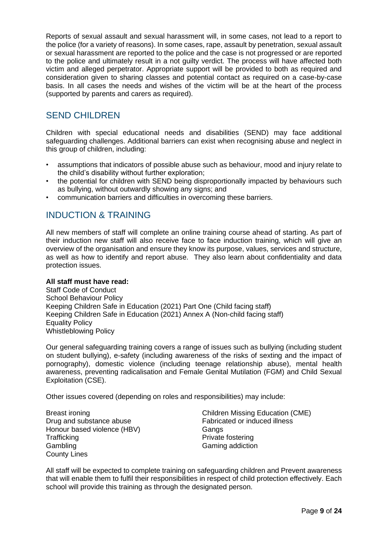Reports of sexual assault and sexual harassment will, in some cases, not lead to a report to the police (for a variety of reasons). In some cases, rape, assault by penetration, sexual assault or sexual harassment are reported to the police and the case is not progressed or are reported to the police and ultimately result in a not guilty verdict. The process will have affected both victim and alleged perpetrator. Appropriate support will be provided to both as required and consideration given to sharing classes and potential contact as required on a case-by-case basis. In all cases the needs and wishes of the victim will be at the heart of the process (supported by parents and carers as required).

# <span id="page-8-0"></span>SEND CHILDREN

Children with special educational needs and disabilities (SEND) may face additional safeguarding challenges. Additional barriers can exist when recognising abuse and neglect in this group of children, including:

- assumptions that indicators of possible abuse such as behaviour, mood and injury relate to the child's disability without further exploration;
- the potential for children with SEND being disproportionally impacted by behaviours such as bullying, without outwardly showing any signs; and
- communication barriers and difficulties in overcoming these barriers.

## <span id="page-8-1"></span>INDUCTION & TRAINING

All new members of staff will complete an online training course ahead of starting. As part of their induction new staff will also receive face to face induction training, which will give an overview of the organisation and ensure they know its purpose, values, services and structure, as well as how to identify and report abuse. They also learn about confidentiality and data protection issues.

#### **All staff must have read:**

Staff Code of Conduct School Behaviour Policy Keeping Children Safe in Education (2021) Part One (Child facing staff) Keeping Children Safe in Education (2021) Annex A (Non-child facing staff) Equality Policy Whistleblowing Policy

Our general safeguarding training covers a range of issues such as bullying (including student on student bullying), e-safety (including awareness of the risks of sexting and the impact of pornography), domestic violence (including teenage relationship abuse), mental health awareness, preventing radicalisation and Female Genital Mutilation (FGM) and Child Sexual Exploitation (CSE).

Other issues covered (depending on roles and responsibilities) may include:

Drug and substance abuse Fabricated or induced illness Honour based violence (HBV) Gangs Trafficking **Trafficking Private fostering** Gambling Gambling Gambling Camble Communication Cambridge Cambridge Cambridge Cambridge Cambridge Cambridge Cambridge Cambridge Cambridge Cambridge Cambridge Cambridge Cambridge Cambridge Cambridge Cambridge Cambridge Camb County Lines

Breast ironing Children Missing Education (CME)

All staff will be expected to complete training on safeguarding children and Prevent awareness that will enable them to fulfil their responsibilities in respect of child protection effectively. Each school will provide this training as through the designated person.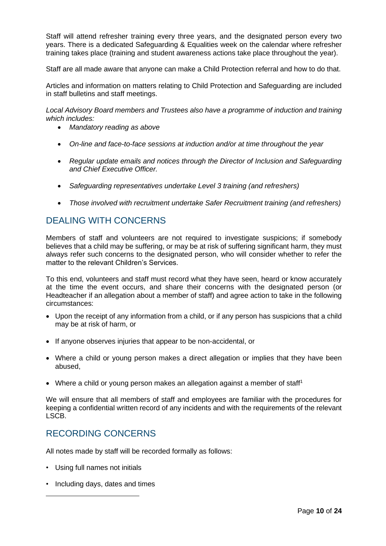Staff will attend refresher training every three years, and the designated person every two years. There is a dedicated Safeguarding & Equalities week on the calendar where refresher training takes place (training and student awareness actions take place throughout the year).

Staff are all made aware that anyone can make a Child Protection referral and how to do that.

Articles and information on matters relating to Child Protection and Safeguarding are included in staff bulletins and staff meetings.

*Local Advisory Board members and Trustees also have a programme of induction and training which includes:*

- *Mandatory reading as above*
- *On-line and face-to-face sessions at induction and/or at time throughout the year*
- *Regular update emails and notices through the Director of Inclusion and Safeguarding and Chief Executive Officer.*
- *Safeguarding representatives undertake Level 3 training (and refreshers)*
- *Those involved with recruitment undertake Safer Recruitment training (and refreshers)*

### <span id="page-9-0"></span>DEALING WITH CONCERNS

Members of staff and volunteers are not required to investigate suspicions; if somebody believes that a child may be suffering, or may be at risk of suffering significant harm, they must always refer such concerns to the designated person, who will consider whether to refer the matter to the relevant Children's Services

To this end, volunteers and staff must record what they have seen, heard or know accurately at the time the event occurs, and share their concerns with the designated person (or Headteacher if an allegation about a member of staff) and agree action to take in the following circumstances:

- Upon the receipt of any information from a child, or if any person has suspicions that a child may be at risk of harm, or
- If anyone observes injuries that appear to be non-accidental, or
- Where a child or young person makes a direct allegation or implies that they have been abused,
- Where a child or young person makes an allegation against a member of staff<sup>1</sup>

We will ensure that all members of staff and employees are familiar with the procedures for keeping a confidential written record of any incidents and with the requirements of the relevant LSCB.

### <span id="page-9-1"></span>RECORDING CONCERNS

All notes made by staff will be recorded formally as follows:

- Using full names not initials
- Including days, dates and times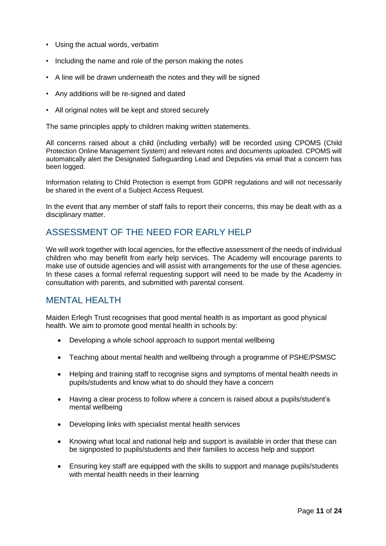- Using the actual words, verbatim
- Including the name and role of the person making the notes
- A line will be drawn underneath the notes and they will be signed
- Any additions will be re-signed and dated
- All original notes will be kept and stored securely

The same principles apply to children making written statements.

All concerns raised about a child (including verbally) will be recorded using CPOMS (Child Protection Online Management System) and relevant notes and documents uploaded. CPOMS will automatically alert the Designated Safeguarding Lead and Deputies via email that a concern has been logged.

Information relating to Child Protection is exempt from GDPR regulations and will not necessarily be shared in the event of a Subject Access Request.

In the event that any member of staff fails to report their concerns, this may be dealt with as a disciplinary matter.

# <span id="page-10-0"></span>ASSESSMENT OF THE NEED FOR EARLY HELP

We will work together with local agencies, for the effective assessment of the needs of individual children who may benefit from early help services. The Academy will encourage parents to make use of outside agencies and will assist with arrangements for the use of these agencies. In these cases a formal referral requesting support will need to be made by the Academy in consultation with parents, and submitted with parental consent.

### <span id="page-10-1"></span>MENTAL HEALTH

Maiden Erlegh Trust recognises that good mental health is as important as good physical health. We aim to promote good mental health in schools by:

- Developing a whole school approach to support mental wellbeing
- Teaching about mental health and wellbeing through a programme of PSHE/PSMSC
- Helping and training staff to recognise signs and symptoms of mental health needs in pupils/students and know what to do should they have a concern
- Having a clear process to follow where a concern is raised about a pupils/student's mental wellbeing
- Developing links with specialist mental health services
- Knowing what local and national help and support is available in order that these can be signposted to pupils/students and their families to access help and support
- Ensuring key staff are equipped with the skills to support and manage pupils/students with mental health needs in their learning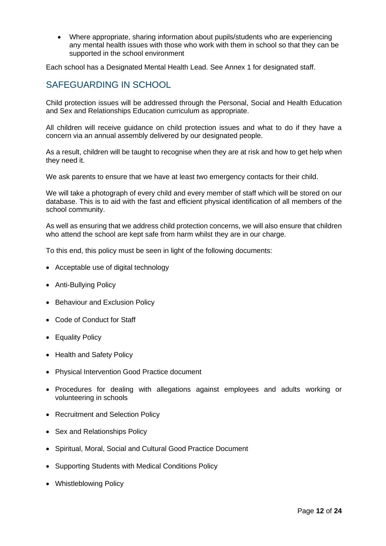• Where appropriate, sharing information about pupils/students who are experiencing any mental health issues with those who work with them in school so that they can be supported in the school environment

Each school has a Designated Mental Health Lead. See Annex 1 for designated staff.

# <span id="page-11-0"></span>SAFEGUARDING IN SCHOOL

Child protection issues will be addressed through the Personal, Social and Health Education and Sex and Relationships Education curriculum as appropriate.

All children will receive guidance on child protection issues and what to do if they have a concern via an annual assembly delivered by our designated people.

As a result, children will be taught to recognise when they are at risk and how to get help when they need it.

We ask parents to ensure that we have at least two emergency contacts for their child.

We will take a photograph of every child and every member of staff which will be stored on our database. This is to aid with the fast and efficient physical identification of all members of the school community.

As well as ensuring that we address child protection concerns, we will also ensure that children who attend the school are kept safe from harm whilst they are in our charge.

To this end, this policy must be seen in light of the following documents:

- Acceptable use of digital technology
- Anti-Bullying Policy
- Behaviour and Exclusion Policy
- Code of Conduct for Staff
- Equality Policy
- Health and Safety Policy
- Physical Intervention Good Practice document
- Procedures for dealing with allegations against employees and adults working or volunteering in schools
- Recruitment and Selection Policy
- Sex and Relationships Policy
- Spiritual, Moral, Social and Cultural Good Practice Document
- Supporting Students with Medical Conditions Policy
- Whistleblowing Policy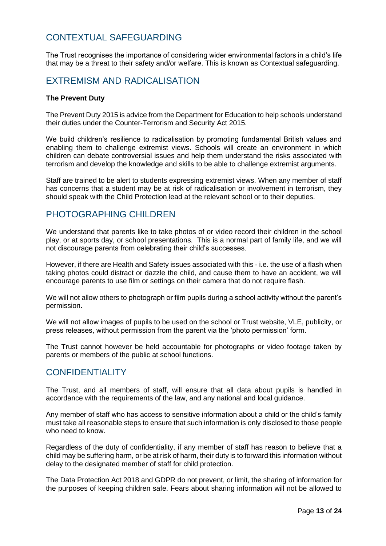# <span id="page-12-0"></span>CONTEXTUAL SAFEGUARDING

The Trust recognises the importance of considering wider environmental factors in a child's life that may be a threat to their safety and/or welfare. This is known as Contextual safeguarding.

### <span id="page-12-1"></span>EXTREMISM AND RADICALISATION

#### **The Prevent Duty**

The Prevent Duty 2015 is advice from the Department for Education to help schools understand their duties under the Counter-Terrorism and Security Act 2015.

We build children's resilience to radicalisation by promoting fundamental British values and enabling them to challenge extremist views. Schools will create an environment in which children can debate controversial issues and help them understand the risks associated with terrorism and develop the knowledge and skills to be able to challenge extremist arguments.

Staff are trained to be alert to students expressing extremist views. When any member of staff has concerns that a student may be at risk of radicalisation or involvement in terrorism, they should speak with the Child Protection lead at the relevant school or to their deputies.

### <span id="page-12-2"></span>PHOTOGRAPHING CHILDREN

We understand that parents like to take photos of or video record their children in the school play, or at sports day, or school presentations. This is a normal part of family life, and we will not discourage parents from celebrating their child's successes.

However, if there are Health and Safety issues associated with this - i.e. the use of a flash when taking photos could distract or dazzle the child, and cause them to have an accident, we will encourage parents to use film or settings on their camera that do not require flash.

We will not allow others to photograph or film pupils during a school activity without the parent's permission.

We will not allow images of pupils to be used on the school or Trust website, VLE, publicity, or press releases, without permission from the parent via the 'photo permission' form.

The Trust cannot however be held accountable for photographs or video footage taken by parents or members of the public at school functions.

### <span id="page-12-3"></span>CONFIDENTIALITY

The Trust, and all members of staff, will ensure that all data about pupils is handled in accordance with the requirements of the law, and any national and local guidance.

Any member of staff who has access to sensitive information about a child or the child's family must take all reasonable steps to ensure that such information is only disclosed to those people who need to know.

Regardless of the duty of confidentiality, if any member of staff has reason to believe that a child may be suffering harm, or be at risk of harm, their duty is to forward this information without delay to the designated member of staff for child protection.

The Data Protection Act 2018 and GDPR do not prevent, or limit, the sharing of information for the purposes of keeping children safe. Fears about sharing information will not be allowed to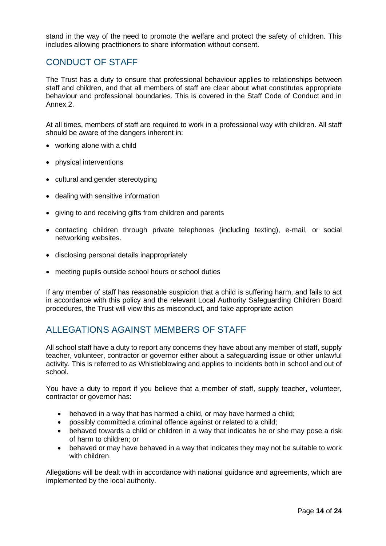stand in the way of the need to promote the welfare and protect the safety of children. This includes allowing practitioners to share information without consent.

# <span id="page-13-0"></span>CONDUCT OF STAFF

The Trust has a duty to ensure that professional behaviour applies to relationships between staff and children, and that all members of staff are clear about what constitutes appropriate behaviour and professional boundaries. This is covered in the Staff Code of Conduct and in Annex 2.

At all times, members of staff are required to work in a professional way with children. All staff should be aware of the dangers inherent in:

- working alone with a child
- physical interventions
- cultural and gender stereotyping
- dealing with sensitive information
- giving to and receiving gifts from children and parents
- contacting children through private telephones (including texting), e-mail, or social networking websites.
- disclosing personal details inappropriately
- meeting pupils outside school hours or school duties

If any member of staff has reasonable suspicion that a child is suffering harm, and fails to act in accordance with this policy and the relevant Local Authority Safeguarding Children Board procedures, the Trust will view this as misconduct, and take appropriate action

# <span id="page-13-1"></span>ALLEGATIONS AGAINST MEMBERS OF STAFF

All school staff have a duty to report any concerns they have about any member of staff, supply teacher, volunteer, contractor or governor either about a safeguarding issue or other unlawful activity. This is referred to as Whistleblowing and applies to incidents both in school and out of school.

You have a duty to report if you believe that a member of staff, supply teacher, volunteer, contractor or governor has:

- behaved in a way that has harmed a child, or may have harmed a child;
- possibly committed a criminal offence against or related to a child;
- behaved towards a child or children in a way that indicates he or she may pose a risk of harm to children; or
- behaved or may have behaved in a way that indicates they may not be suitable to work with children.

Allegations will be dealt with in accordance with national guidance and agreements, which are implemented by the local authority.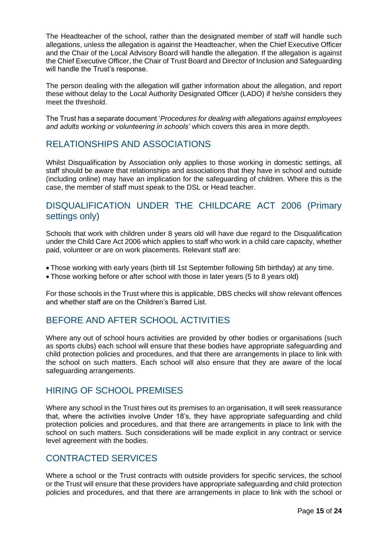The Headteacher of the school, rather than the designated member of staff will handle such allegations, unless the allegation is against the Headteacher, when the Chief Executive Officer and the Chair of the Local Advisory Board will handle the allegation. If the allegation is against the Chief Executive Officer, the Chair of Trust Board and Director of Inclusion and Safeguarding will handle the Trust's response.

The person dealing with the allegation will gather information about the allegation, and report these without delay to the Local Authority Designated Officer (LADO) if he/she considers they meet the threshold.

The Trust has a separate document '*Procedures for dealing with allegations against employees and adults working or volunteering in schools'* which covers this area in more depth.

## <span id="page-14-0"></span>RELATIONSHIPS AND ASSOCIATIONS

Whilst Disqualification by Association only applies to those working in domestic settings, all staff should be aware that relationships and associations that they have in school and outside (including online) may have an implication for the safeguarding of children. Where this is the case, the member of staff must speak to the DSL or Head teacher.

## <span id="page-14-1"></span>DISQUALIFICATION UNDER THE CHILDCARE ACT 2006 (Primary settings only)

Schools that work with children under 8 years old will have due regard to the Disqualification under the Child Care Act 2006 which applies to staff who work in a child care capacity, whether paid, volunteer or are on work placements. Relevant staff are:

- Those working with early years (birth till 1st September following 5th birthday) at any time.
- Those working before or after school with those in later years (5 to 8 years old)

For those schools in the Trust where this is applicable, DBS checks will show relevant offences and whether staff are on the Children's Barred List.

# <span id="page-14-2"></span>BEFORE AND AFTER SCHOOL ACTIVITIES

Where any out of school hours activities are provided by other bodies or organisations (such as sports clubs) each school will ensure that these bodies have appropriate safeguarding and child protection policies and procedures, and that there are arrangements in place to link with the school on such matters. Each school will also ensure that they are aware of the local safeguarding arrangements.

### <span id="page-14-3"></span>HIRING OF SCHOOL PREMISES

Where any school in the Trust hires out its premises to an organisation, it will seek reassurance that, where the activities involve Under 18's, they have appropriate safeguarding and child protection policies and procedures, and that there are arrangements in place to link with the school on such matters. Such considerations will be made explicit in any contract or service level agreement with the bodies.

# <span id="page-14-4"></span>CONTRACTED SERVICES

Where a school or the Trust contracts with outside providers for specific services, the school or the Trust will ensure that these providers have appropriate safeguarding and child protection policies and procedures, and that there are arrangements in place to link with the school or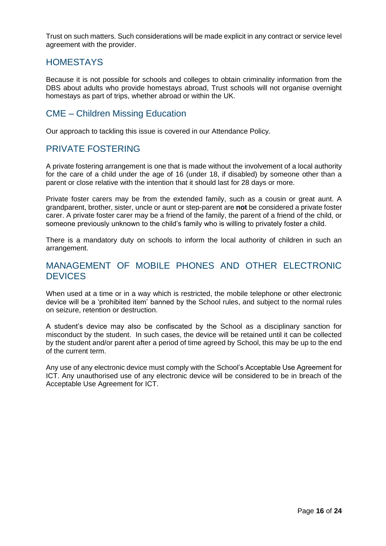Trust on such matters. Such considerations will be made explicit in any contract or service level agreement with the provider.

### <span id="page-15-0"></span>**HOMESTAYS**

Because it is not possible for schools and colleges to obtain criminality information from the DBS about adults who provide homestays abroad, Trust schools will not organise overnight homestays as part of trips, whether abroad or within the UK.

### CME – Children Missing Education

Our approach to tackling this issue is covered in our Attendance Policy.

### <span id="page-15-1"></span>PRIVATE FOSTERING

A private fostering arrangement is one that is made without the involvement of a local authority for the care of a child under the age of 16 (under 18, if disabled) by someone other than a parent or close relative with the intention that it should last for 28 days or more.

Private foster carers may be from the extended family, such as a cousin or great aunt. A grandparent, brother, sister, uncle or aunt or step-parent are **not** be considered a private foster carer. A private foster carer may be a friend of the family, the parent of a friend of the child, or someone previously unknown to the child's family who is willing to privately foster a child.

There is a mandatory duty on schools to inform the local authority of children in such an arrangement.

## <span id="page-15-2"></span>MANAGEMENT OF MOBILE PHONES AND OTHER ELECTRONIC **DEVICES**

When used at a time or in a way which is restricted, the mobile telephone or other electronic device will be a 'prohibited item' banned by the School rules, and subject to the normal rules on seizure, retention or destruction.

A student's device may also be confiscated by the School as a disciplinary sanction for misconduct by the student. In such cases, the device will be retained until it can be collected by the student and/or parent after a period of time agreed by School, this may be up to the end of the current term.

Any use of any electronic device must comply with the School's Acceptable Use Agreement for ICT. Any unauthorised use of any electronic device will be considered to be in breach of the Acceptable Use Agreement for ICT.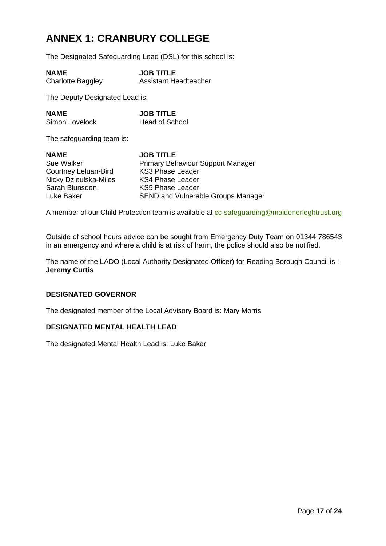# <span id="page-16-0"></span>**ANNEX 1: CRANBURY COLLEGE**

The Designated Safeguarding Lead (DSL) for this school is:

**NAME JOB TITLE** Charlotte Baggley Assistant Headteacher

The Deputy Designated Lead is:

| <b>NAME</b>    |  |
|----------------|--|
| Simon Lovelock |  |

**NAME JOB TITLE** Head of School

The safeguarding team is:

| <b>NAME</b>           | <b>JOB TITLE</b>                         |
|-----------------------|------------------------------------------|
| Sue Walker            | <b>Primary Behaviour Support Manager</b> |
| Courtney Leluan-Bird  | <b>KS3 Phase Leader</b>                  |
| Nicky Dzieulska-Miles | <b>KS4 Phase Leader</b>                  |
| Sarah Blunsden        | <b>KS5 Phase Leader</b>                  |
| Luke Baker            | SEND and Vulnerable Groups Manager       |

A member of our Child Protection team is available at [cc-safeguarding@maidenerleghtrust.org](mailto:safeguarding@cranburycollege.reading.sch.uk)

Outside of school hours advice can be sought from Emergency Duty Team on 01344 786543 in an emergency and where a child is at risk of harm, the police should also be notified.

The name of the LADO (Local Authority Designated Officer) for Reading Borough Council is : **Jeremy Curtis**

#### <span id="page-16-1"></span>**DESIGNATED GOVERNOR**

The designated member of the Local Advisory Board is: Mary Morris

#### **DESIGNATED MENTAL HEALTH LEAD**

The designated Mental Health Lead is: Luke Baker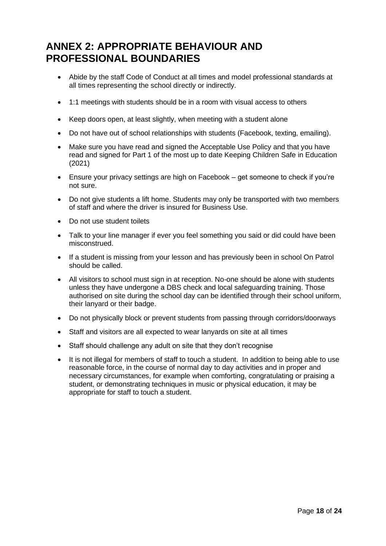# <span id="page-17-0"></span>**ANNEX 2: APPROPRIATE BEHAVIOUR AND PROFESSIONAL BOUNDARIES**

- Abide by the staff Code of Conduct at all times and model professional standards at all times representing the school directly or indirectly.
- 1:1 meetings with students should be in a room with visual access to others
- Keep doors open, at least slightly, when meeting with a student alone
- Do not have out of school relationships with students (Facebook, texting, emailing).
- Make sure you have read and signed the Acceptable Use Policy and that you have read and signed for Part 1 of the most up to date Keeping Children Safe in Education (2021)
- Ensure your privacy settings are high on Facebook get someone to check if you're not sure.
- Do not give students a lift home. Students may only be transported with two members of staff and where the driver is insured for Business Use.
- Do not use student toilets
- Talk to your line manager if ever you feel something you said or did could have been misconstrued.
- If a student is missing from your lesson and has previously been in school On Patrol should be called.
- All visitors to school must sign in at reception. No-one should be alone with students unless they have undergone a DBS check and local safeguarding training. Those authorised on site during the school day can be identified through their school uniform, their lanyard or their badge.
- Do not physically block or prevent students from passing through corridors/doorways
- Staff and visitors are all expected to wear lanyards on site at all times
- Staff should challenge any adult on site that they don't recognise
- It is not illegal for members of staff to touch a student. In addition to being able to use reasonable force, in the course of normal day to day activities and in proper and necessary circumstances, for example when comforting, congratulating or praising a student, or demonstrating techniques in music or physical education, it may be appropriate for staff to touch a student.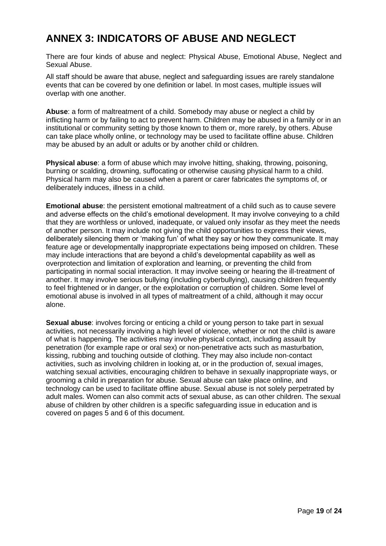# <span id="page-18-0"></span>**ANNEX 3: INDICATORS OF ABUSE AND NEGLECT**

There are four kinds of abuse and neglect: Physical Abuse, Emotional Abuse, Neglect and Sexual Abuse.

All staff should be aware that abuse, neglect and safeguarding issues are rarely standalone events that can be covered by one definition or label. In most cases, multiple issues will overlap with one another.

**Abuse**: a form of maltreatment of a child. Somebody may abuse or neglect a child by inflicting harm or by failing to act to prevent harm. Children may be abused in a family or in an institutional or community setting by those known to them or, more rarely, by others. Abuse can take place wholly online, or technology may be used to facilitate offline abuse. Children may be abused by an adult or adults or by another child or children.

**Physical abuse**: a form of abuse which may involve hitting, shaking, throwing, poisoning, burning or scalding, drowning, suffocating or otherwise causing physical harm to a child. Physical harm may also be caused when a parent or carer fabricates the symptoms of, or deliberately induces, illness in a child.

**Emotional abuse**: the persistent emotional maltreatment of a child such as to cause severe and adverse effects on the child's emotional development. It may involve conveying to a child that they are worthless or unloved, inadequate, or valued only insofar as they meet the needs of another person. It may include not giving the child opportunities to express their views, deliberately silencing them or 'making fun' of what they say or how they communicate. It may feature age or developmentally inappropriate expectations being imposed on children. These may include interactions that are beyond a child's developmental capability as well as overprotection and limitation of exploration and learning, or preventing the child from participating in normal social interaction. It may involve seeing or hearing the ill-treatment of another. It may involve serious bullying (including cyberbullying), causing children frequently to feel frightened or in danger, or the exploitation or corruption of children. Some level of emotional abuse is involved in all types of maltreatment of a child, although it may occur alone.

**Sexual abuse:** involves forcing or enticing a child or young person to take part in sexual activities, not necessarily involving a high level of violence, whether or not the child is aware of what is happening. The activities may involve physical contact, including assault by penetration (for example rape or oral sex) or non-penetrative acts such as masturbation, kissing, rubbing and touching outside of clothing. They may also include non-contact activities, such as involving children in looking at, or in the production of, sexual images, watching sexual activities, encouraging children to behave in sexually inappropriate ways, or grooming a child in preparation for abuse. Sexual abuse can take place online, and technology can be used to facilitate offline abuse. Sexual abuse is not solely perpetrated by adult males. Women can also commit acts of sexual abuse, as can other children. The sexual abuse of children by other children is a specific safeguarding issue in education and is covered on pages 5 and 6 of this document.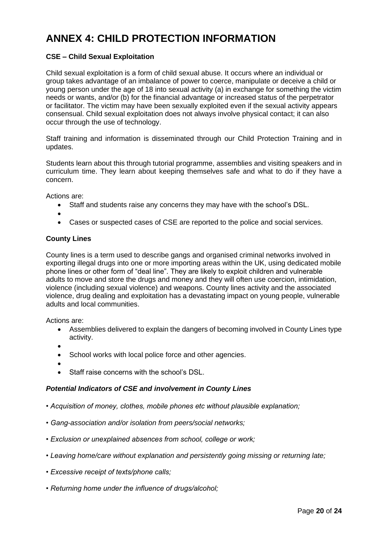# <span id="page-19-0"></span>**ANNEX 4: CHILD PROTECTION INFORMATION**

#### **CSE – Child Sexual Exploitation**

Child sexual exploitation is a form of child sexual abuse. It occurs where an individual or group takes advantage of an imbalance of power to coerce, manipulate or deceive a child or young person under the age of 18 into sexual activity (a) in exchange for something the victim needs or wants, and/or (b) for the financial advantage or increased status of the perpetrator or facilitator. The victim may have been sexually exploited even if the sexual activity appears consensual. Child sexual exploitation does not always involve physical contact; it can also occur through the use of technology.

Staff training and information is disseminated through our Child Protection Training and in updates.

Students learn about this through tutorial programme, assemblies and visiting speakers and in curriculum time. They learn about keeping themselves safe and what to do if they have a concern.

Actions are:

- Staff and students raise any concerns they may have with the school's DSL.
- •
- Cases or suspected cases of CSE are reported to the police and social services.

#### **County Lines**

County lines is a term used to describe gangs and organised criminal networks involved in exporting illegal drugs into one or more importing areas within the UK, using dedicated mobile phone lines or other form of "deal line". They are likely to exploit children and vulnerable adults to move and store the drugs and money and they will often use coercion, intimidation, violence (including sexual violence) and weapons. County lines activity and the associated violence, drug dealing and exploitation has a devastating impact on young people, vulnerable adults and local communities.

Actions are:

- Assemblies delivered to explain the dangers of becoming involved in County Lines type activity.
- •
- School works with local police force and other agencies.
- •
- Staff raise concerns with the school's DSL.

#### *Potential Indicators of CSE and involvement in County Lines*

- *Acquisition of money, clothes, mobile phones etc without plausible explanation;*
- *Gang-association and/or isolation from peers/social networks;*
- *Exclusion or unexplained absences from school, college or work;*
- *Leaving home/care without explanation and persistently going missing or returning late;*
- *Excessive receipt of texts/phone calls;*
- *Returning home under the influence of drugs/alcohol;*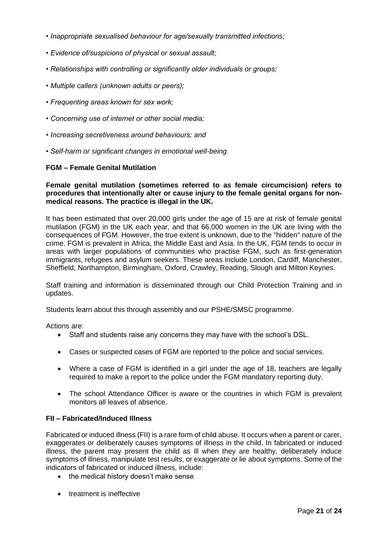- *Inappropriate sexualised behaviour for age/sexually transmitted infections;*
- *Evidence of/suspicions of physical or sexual assault;*
- *Relationships with controlling or significantly older individuals or groups;*
- *Multiple callers (unknown adults or peers);*
- *Frequenting areas known for sex work;*
- *Concerning use of internet or other social media;*
- *Increasing secretiveness around behaviours; and*
- *Self-harm or significant changes in emotional well-being.*

#### **FGM – Female Genital Mutilation**

#### **Female genital mutilation (sometimes referred to as female circumcision) refers to procedures that intentionally alter or cause injury to the female genital organs for nonmedical reasons. The practice is illegal in the UK.**

It has been estimated that over 20,000 girls under the age of 15 are at risk of female genital mutilation (FGM) in the UK each year, and that 66,000 women in the UK are living with the consequences of FGM. However, the true extent is unknown, due to the "hidden" nature of the crime. FGM is prevalent in Africa, the Middle East and Asia. In the UK, FGM tends to occur in areas with larger populations of communities who practise FGM, such as first-generation immigrants, refugees and asylum seekers. These areas include London, Cardiff, Manchester, Sheffield, Northampton, Birmingham, Oxford, Crawley, Reading, Slough and Milton Keynes.

Staff training and information is disseminated through our Child Protection Training and in updates.

Students learn about this through assembly and our PSHE/SMSC programme.

Actions are:

- Staff and students raise any concerns they may have with the school's DSL.
- Cases or suspected cases of FGM are reported to the police and social services.
- Where a case of FGM is identified in a girl under the age of 18, teachers are legally required to make a report to the police under the FGM mandatory reporting duty.
- The school Attendance Officer is aware or the countries in which FGM is prevalent monitors all leaves of absence.

#### **FII – Fabricated/Induced Illness**

Fabricated or induced illness (FII) is a rare form of child abuse. It occurs when a parent or carer, exaggerates or deliberately causes symptoms of illness in the child. In fabricated or induced illness, the parent may present the child as ill when they are healthy, deliberately induce symptoms of illness, manipulate test results, or exaggerate or lie about symptoms. Some of the indicators of fabricated or induced illness, include:

- the medical history doesn't make sense
- treatment is ineffective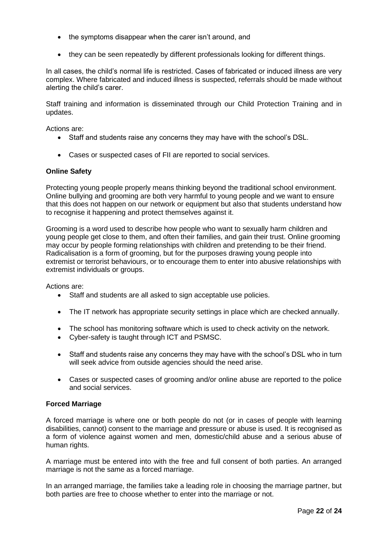- the symptoms disappear when the carer isn't around, and
- they can be seen repeatedly by different professionals looking for different things.

In all cases, the child's normal life is restricted. Cases of fabricated or induced illness are very complex. Where fabricated and induced illness is suspected, referrals should be made without alerting the child's carer.

Staff training and information is disseminated through our Child Protection Training and in updates.

Actions are:

- Staff and students raise any concerns they may have with the school's DSL.
- Cases or suspected cases of FII are reported to social services.

#### **Online Safety**

Protecting young people properly means thinking beyond the traditional school environment. Online bullying and grooming are both very harmful to young people and we want to ensure that this does not happen on our network or equipment but also that students understand how to recognise it happening and protect themselves against it.

Grooming is a word used to describe how people who want to sexually harm children and young people get close to them, and often their families, and gain their trust. Online grooming may occur by people forming relationships with children and pretending to be their friend. Radicalisation is a form of grooming, but for the purposes drawing young people into extremist or terrorist behaviours, or to encourage them to enter into abusive relationships with extremist individuals or groups.

Actions are:

- Staff and students are all asked to sign acceptable use policies.
- The IT network has appropriate security settings in place which are checked annually.
- The school has monitoring software which is used to check activity on the network.
- Cyber-safety is taught through ICT and PSMSC.
- Staff and students raise any concerns they may have with the school's DSL who in turn will seek advice from outside agencies should the need arise.
- Cases or suspected cases of grooming and/or online abuse are reported to the police and social services.

#### **Forced Marriage**

A forced marriage is where one or both people do not (or in cases of people with learning disabilities, cannot) consent to the marriage and pressure or abuse is used. It is recognised as a form of violence against women and men, domestic/child abuse and a serious abuse of human rights.

A marriage must be entered into with the free and full consent of both parties. An arranged marriage is not the same as a forced marriage.

In an arranged marriage, the families take a leading role in choosing the marriage partner, but both parties are free to choose whether to enter into the marriage or not.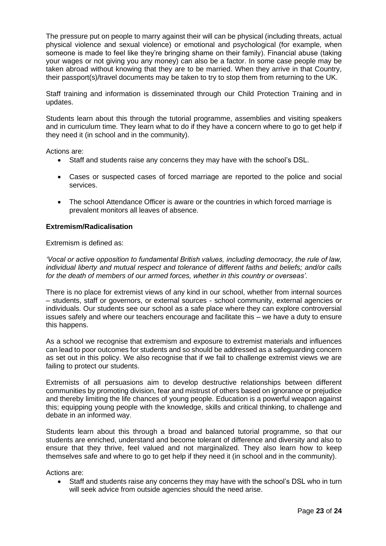The pressure put on people to marry against their will can be physical (including threats, actual physical violence and sexual violence) or emotional and psychological (for example, when someone is made to feel like they're bringing shame on their family). Financial abuse (taking your wages or not giving you any money) can also be a factor. In some case people may be taken abroad without knowing that they are to be married. When they arrive in that Country, their passport(s)/travel documents may be taken to try to stop them from returning to the UK.

Staff training and information is disseminated through our Child Protection Training and in updates.

Students learn about this through the tutorial programme, assemblies and visiting speakers and in curriculum time. They learn what to do if they have a concern where to go to get help if they need it (in school and in the community).

Actions are:

- Staff and students raise any concerns they may have with the school's DSL.
- Cases or suspected cases of forced marriage are reported to the police and social services.
- The school Attendance Officer is aware or the countries in which forced marriage is prevalent monitors all leaves of absence.

#### **Extremism/Radicalisation**

Extremism is defined as:

*'Vocal or active opposition to fundamental British values, including democracy, the rule of law, individual liberty and mutual respect and tolerance of different faiths and beliefs; and/or calls for the death of members of our armed forces, whether in this country or overseas'.* 

There is no place for extremist views of any kind in our school, whether from internal sources – students, staff or governors, or external sources - school community, external agencies or individuals. Our students see our school as a safe place where they can explore controversial issues safely and where our teachers encourage and facilitate this – we have a duty to ensure this happens.

As a school we recognise that extremism and exposure to extremist materials and influences can lead to poor outcomes for students and so should be addressed as a safeguarding concern as set out in this policy. We also recognise that if we fail to challenge extremist views we are failing to protect our students.

Extremists of all persuasions aim to develop destructive relationships between different communities by promoting division, fear and mistrust of others based on ignorance or prejudice and thereby limiting the life chances of young people. Education is a powerful weapon against this; equipping young people with the knowledge, skills and critical thinking, to challenge and debate in an informed way.

Students learn about this through a broad and balanced tutorial programme, so that our students are enriched, understand and become tolerant of difference and diversity and also to ensure that they thrive, feel valued and not marginalized. They also learn how to keep themselves safe and where to go to get help if they need it (in school and in the community).

Actions are:

• Staff and students raise any concerns they may have with the school's DSL who in turn will seek advice from outside agencies should the need arise.